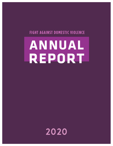# **FIGHT AGAINST DOMESTIC VIOLENCE**

# **ANNUAL REPORT**

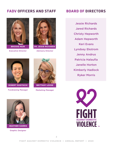# **FADV OFFICERS AND STAFF BOARD OF DIRECTORS**



Executive Director **BROOKE MUIR**



**DR. JESSIE RICHARDS** Advisory Director



**ROBERT SUGITACHI**

Fundraising Manager



**BRITTANY LOOSE**

Marketing Manager

Jessie Richards Jared Richards Christy Hepworth Adam Hepworth Keri Evans Lyndsey Ekstrom Jenny Andrus Patricia Halaufia Janelle Horton Kimberly Hadlock Ryker Morris





**HEATHER HARRIS**

Graphic Designer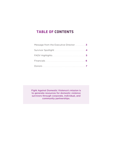# **TABLE OF CONTENTS**

| Message from the Executive Director 3 |  |
|---------------------------------------|--|
|                                       |  |
|                                       |  |
|                                       |  |
|                                       |  |

Fight Against Domestic Violence's mission is to generate resources for domestic violence survivors through corporate, individual, and community partnerships.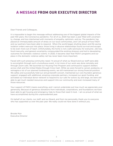# **A MESSAGE FROM OUR EXECUTIVE DIRECTOR**

Dear Friends and Colleagues,

It is impossible to begin this message without addressing one of the biggest global impacts of the past 100 years, the Coronavirus pandemic. For all of us, 2020 has been a year filled with uncertainty, change, and loss intertwined with moments of empathy, optimism, and joy. The pandemic has placed an immeasurable amount of stress on our local communities, and I am proud of how FADV and our partners have been able to respond. When the world began shutting down and life-saving isolation orders were put into place, those living in abusive relationships found survival and escape to be even more out of reach. Unfortunately, the home is not a safe sanctuary for everyone. Job loss, food insecurity, and general uncertainty compounded the existing stressors and led to devastating outcomes for domestic violence victims. In 2020, it became clear that FADV's programs and our place in the domestic violence safety net has never been more important.

Faced with such pressing community need, I'm proud of what our Board and our staff were able to accomplish through such a tumultuous event. A lot more of our work was done remotely and through Zoom calls. We launched our Housing First Program and continued to support shelters across Utah and the United States through Crisis Cash. While we were forced to cancel, postpone, or reimagine a lot of our planned fundraising events, we still maintained our strong financial position. We safely and successfully held our annual benefit concert, maintained our core founders generous support, engaged with additional, amazing corporate partners, increased our grant funding, and activated our individual donor network to respond to our calls for action; by and large, we were still able to get much needed resources and support into our community and even increased many of those resources.

Your support of FADV means everything, and I cannot understate just how much we appreciate your generosity. Because of generous donations from individuals, corporations, and foundations we have been able to get housing and emergency help to those that need it most. I am so proud of what we have accomplished during this unprecedented year.

On behalf of our clients, our staff, and our Board, and from me personally, thank you to everyone who has supported us over the past year. We really could not have done it without you.

Brooke Muir Executive Director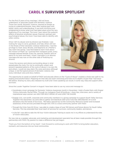# **CAROL K SURVIVOR SPOTLIGHT**

For the first 21 years of my marriage, I did not know, understand, or associate myself with domestic violence. Those two words, domestic violence, seemed as foreign as trying to understand Russian. Now, after looking back with better clarity and understanding, it was both horrifying and enlightening to know what truly had taken place since the very beginning of my marriage. The more I learn about the systemic effects of physical, emotional, sexual, financial, spiritual, and psychological abuse, the more I have been able to identify with other victims.

Once I left my abuser and my divorce was finalized, I was looking for ways to serve, giveback, and help others still lost in the throes of their domestic violence relationship. I had the privilege to meet Jesse, Brooke, and Stephanie at a Mother's Day event last spring. I was fascinated to learn more about the mission of FADV. As I scanned their Instagram posts, every message seemed familiar. Every tip, warning, statistic sent an alarm to my brain and heart. I knew I had been in an abusive marriage and was now on the other side of finalizing my divorce.

I knew the secrecy and silence surrounding abuse is what perpetuates the cycle. For me to continually unlearn and prevent repeated patterns of the cycle of abuse in my own life and others, I could not stay silent. My voice and story, although unique, is not the typical picture of domestic violence. But every individual voice and story matters.



The opportunity to speak on behalf of FADV and educate others on the "Cycle of Abuse" created a whole new path to my healing and transformation. Preparing for that talk was heart wrenching and took me to depths of pain that I had never felt before. Sharing my story also released my truth and I knew speaking out would, in some way, help and support other survivors.

Since the Louder Together Concert in August I have been able to use my voice and message to:

- Coordinate a local campaign for Domestic Violence Awareness month in November. I held a Purple Party with Draper Victims Advocate, Rachel Miller. Through my Instagram Feed @Carolkvan, I share tips, interviews, and a variety of inspirational ways women can ASK FOR HELP, SPEAK UP, and LOSE THE SHAME
- Engage civic, non-profit, corporate and community members in a giving campaign to support South Valley Services. Together this December, we were able to gather and distribute 200 Crisis Care Kits (\$10,000.00) of in kind donations into the hands of Survivors. We held a special tour at the Community Resource Center and increased awareness of the services provided through SVS. SVS is a close community partner with FADV.
- Through the Crisis Care Kit Drive, I was able to create a base of over 100 donors and future donors for South Valley Services. This has extended their local reach of services for survivors. community leaders, and donors.
- In the fall I was able to take the 40 hour Victim Advocate Training to assist me in my efforts to understand the roles of Victim Advocates.

My new role as a speaker, advocate, and marketing and development specialist has all been made possible through the partnership with FADV. My passion to make a difference has just begun.

Thank you from the bottom of my heart! I look forward to continuing to work with FADV to bring better education, outreach, and resources into our local communities.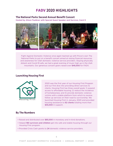# **FADV 2020 HIGHLIGHTS**

#### **The National Parks Second Annual Benefit Concert**

Hosted by Alison Faulkner with Special Guest Speaker and Survivor, Carol K



Fight Against Domestic Violence once again teamed up with Provo's own The National Parks to put on a benefit concert aimed at raising financial resources and awareness for Utah domestic violence service providers. Staying physically distant and Covid-19 safe, we had a great evening of music high up in the Utah mountains. Our generous concert goers raised over \$46,000 for FADV.

#### **Launching Housing First**



2020 was the first year of our Housing First Program and our first dive into providing direct services to clients. Housing First has three overall goals: 1) expand access to affordable housing; 2) reduce the incidence of homelessness; and 3) provide domestic violence victims with a stable platform from which to receive follow up services on their road to survivorship. We launched Housing First in January, 2020 and provided housing assistance to 62 clients totaling more than \$35,000 in support.

#### **By The Numbers**

- Raised and distributed over \$85,000 in monetary and in-kind donations.
- Helped 180 survivors and children get into safe and stable housing through our Housing First program.
- Provided Crisis Cash grants to 24 domestic violence service providers.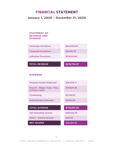# **FINANCIAL STATEMENT**

#### **January 1, 2020 – December 31, 2020**

#### **STATEMENT OF REVENUE AND EXPENSE**

| <b>Campaign Donations</b>   | \$20,000.00  |
|-----------------------------|--------------|
| <b>Corporate Donations</b>  | \$81,631.53  |
| <b>Individual Donations</b> | \$114,102.84 |
|                             |              |
| <b>TOTAL REVENUE</b>        | \$215,734.37 |

#### **EXPENSE**

| <b>Program Grants Disbursed</b>                       | \$56,055.71  |
|-------------------------------------------------------|--------------|
| Payroll - Wages Taxes, Fees,<br><b>Contract Labor</b> | \$109,811.95 |
| <b>Fundraising</b>                                    | \$3,749.87   |
| <b>Administrative/General</b>                         | \$7074.06    |
|                                                       |              |
|                                                       |              |
| <b>TOTAL EXPENSE</b>                                  | \$176,691.59 |
| <b>Net Operating Income</b>                           | \$39,042.78  |
| <b>Other - Interest Income</b>                        | \$221.87     |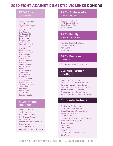# **2020 FIGHT AGAINST DOMESTIC VIOLENCE DONORS**

# **FADV Ally**

(\$100-\$499)

Phillip & Kathy Muir Carrie Norman Gaya Samarasingha Benjamin Riley Dana Baird Eric Goodrich Jill Zakrzewski Suzanne Hart Chris Lemay Breen Homes Heidi Maxfield Sydney Reichardt Rebecca Smylie Amy Fishell Jon Bradshaw Jonathan Richards Amy Sanders Arthur Jessop Grace Dube Richard Stewart Alisha Smith Valerie Whiting Rachel Daines Mckay Dunn Hillary Alleman Amy Oliver Erica Galland Brandon Beck Ryan Slobodian Steve Evans Kanita Lipjankic Holladay Car Wash Dane Smith Jeff Wood Judy Buxton Nina Martin Suzy Al-Abdulla

#### **FADV Friend**  (\$500-\$999)

Shane D. Wood Matt Hawkins Michael Littledike Tim & Lucy Pierce Ted Lansing Kalli and Kade Huntsman Taylor Vowles Patricia Halaufia Stu and Stephanie Buehner

#### **FADV Ambassador**  (\$2,000 - \$9,999)

Heiner Family Fund Jeff & Camie Nielson Dan & Elise Caffee Elena Leppard

**FADV Family** (\$10,000 – \$24,999)

Jared and Jessie Richards Lyndsey Ekstrom Keri Evans Anonymous

**FADV Founder** (\$25,000+)

Christy and Adam Hepworth

#### Business Partner Spotlight

Joseph and Kathleen Sorenson Legacy Foundation Sorenson Legacy Foundation Joan and Tim Fenton Foundation Intermountain Healthcare Cross Charitable Foundation Val A. and Edith D Green Foundation

#### Corporate Partners

Coldwater Capital, LLC Capita Financial Network Cross Charitable Foundation Ridgeline Capital Group Built Brands, LLC Bennett, Tueller, Johnson & Deere Graystone Mortgage, LLC Snap Finance Bella Lash Peak Capital Cloud9 Life The Relationship Recovery BeneYou

7